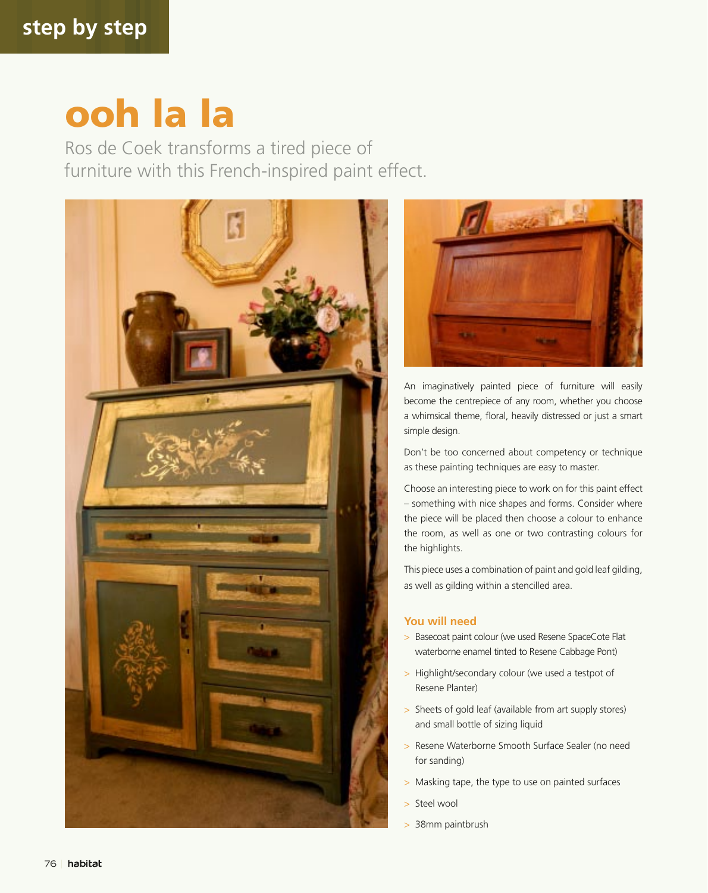# ooh la la

Ros de Coek transforms a tired piece of furniture with this French-inspired paint effect.





An imaginatively painted piece of furniture will easily become the centrepiece of any room, whether you choose a whimsical theme, floral, heavily distressed or just a smart simple design.

Don't be too concerned about competency or technique as these painting techniques are easy to master.

Choose an interesting piece to work on for this paint effect – something with nice shapes and forms. Consider where the piece will be placed then choose a colour to enhance the room, as well as one or two contrasting colours for the highlights.

This piece uses a combination of paint and gold leaf gilding, as well as gilding within a stencilled area.

#### **You will need**

- > Basecoat paint colour (we used Resene SpaceCote Flat waterborne enamel tinted to Resene Cabbage Pont)
- > Highlight/secondary colour (we used a testpot of Resene Planter)
- > Sheets of gold leaf (available from art supply stores) and small bottle of sizing liquid
- > Resene Waterborne Smooth Surface Sealer (no need for sanding)
- > Masking tape, the type to use on painted surfaces
- > Steel wool
- > 38mm paintbrush